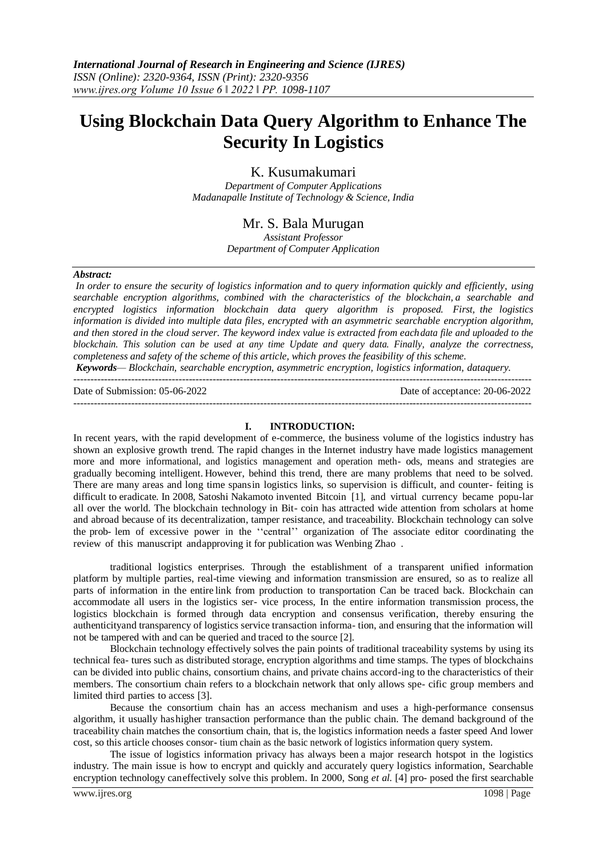# **Using Blockchain Data Query Algorithm to Enhance The Security In Logistics**

# K. Kusumakumari

*Department of Computer Applications Madanapalle Institute of Technology & Science, India*

# Mr. S. Bala Murugan

*Assistant Professor Department of Computer Application*

## *Abstract:*

*In order to ensure the security of logistics information and to query information quickly and efficiently, using searchable encryption algorithms, combined with the characteristics of the blockchain, a searchable and encrypted logistics information blockchain data query algorithm is proposed. First, the logistics information is divided into multiple data files, encrypted with an asymmetric searchable encryption algorithm, and then stored in the cloud server. The keyword index value is extracted from eachdata file and uploaded to the blockchain. This solution can be used at any time Update and query data. Finally, analyze the correctness, completeness and safety of the scheme of this article, which proves the feasibility of this scheme.*

*Keywords— Blockchain, searchable encryption, asymmetric encryption, logistics information, dataquery.*

Date of Submission: 05-06-2022 Date of acceptance: 20-06-2022

#### **I. INTRODUCTION:**

---------------------------------------------------------------------------------------------------------------------------------------

In recent years, with the rapid development of e-commerce, the business volume of the logistics industry has shown an explosive growth trend. The rapid changes in the Internet industry have made logistics management more and more informational, and logistics management and operation meth- ods, means and strategies are gradually becoming intelligent. However, behind this trend, there are many problems that need to be solved. There are many areas and long time spansin logistics links, so supervision is difficult, and counter- feiting is difficult to eradicate. In 2008, Satoshi Nakamoto invented Bitcoin [1], and virtual currency became popu-lar all over the world. The blockchain technology in Bit- coin has attracted wide attention from scholars at home and abroad because of its decentralization, tamper resistance, and traceability. Blockchain technology can solve the prob- lem of excessive power in the ''central'' organization of The associate editor coordinating the review of this manuscript andapproving it for publication was Wenbing Zhao .

traditional logistics enterprises. Through the establishment of a transparent unified information platform by multiple parties, real-time viewing and information transmission are ensured, so as to realize all parts of information in the entire link from production to transportation Can be traced back. Blockchain can accommodate all users in the logistics ser- vice process, In the entire information transmission process, the logistics blockchain is formed through data encryption and consensus verification, thereby ensuring the authenticityand transparency of logistics service transaction informa- tion, and ensuring that the information will not be tampered with and can be queried and traced to the source [2].

Blockchain technology effectively solves the pain points of traditional traceability systems by using its technical fea- tures such as distributed storage, encryption algorithms and time stamps. The types of blockchains can be divided into public chains, consortium chains, and private chains accord-ing to the characteristics of their members. The consortium chain refers to a blockchain network that only allows spe- cific group members and limited third parties to access [3].

Because the consortium chain has an access mechanism and uses a high-performance consensus algorithm, it usually hashigher transaction performance than the public chain. The demand background of the traceability chain matches the consortium chain, that is, the logistics information needs a faster speed And lower cost, so this article chooses consor- tium chain as the basic network of logistics information query system.

The issue of logistics information privacy has always been a major research hotspot in the logistics industry. The main issue is how to encrypt and quickly and accurately query logistics information, Searchable encryption technology caneffectively solve this problem. In 2000, Song *et al.* [4] pro- posed the first searchable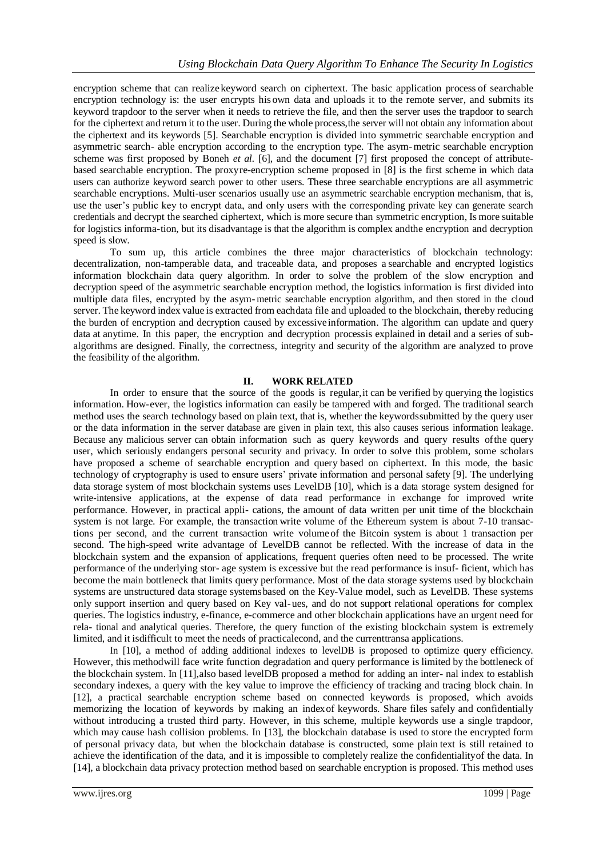encryption scheme that can realize keyword search on ciphertext. The basic application process of searchable encryption technology is: the user encrypts his own data and uploads it to the remote server, and submits its keyword trapdoor to the server when it needs to retrieve the file, and then the server uses the trapdoor to search for the ciphertext and return it to the user. During the whole process, the server will not obtain any information about the ciphertext and its keywords [5]. Searchable encryption is divided into symmetric searchable encryption and asymmetric search- able encryption according to the encryption type. The asym-metric searchable encryption scheme was first proposed by Boneh *et al.* [6], and the document [7] first proposed the concept of attributebased searchable encryption. The proxyre-encryption scheme proposed in [8] is the first scheme in which data users can authorize keyword search power to other users. These three searchable encryptions are all asymmetric searchable encryptions. Multi-user scenarios usually use an asymmetric searchable encryption mechanism, that is, use the user's public key to encrypt data, and only users with the corresponding private key can generate search credentials and decrypt the searched ciphertext, which is more secure than symmetric encryption, Is more suitable for logistics informa-tion, but its disadvantage is that the algorithm is complex andthe encryption and decryption speed is slow.

To sum up, this article combines the three major characteristics of blockchain technology: decentralization, non-tamperable data, and traceable data, and proposes a searchable and encrypted logistics information blockchain data query algorithm. In order to solve the problem of the slow encryption and decryption speed of the asymmetric searchable encryption method, the logistics information is first divided into multiple data files, encrypted by the asym-metric searchable encryption algorithm, and then stored in the cloud server. The keyword index value is extracted from eachdata file and uploaded to the blockchain, thereby reducing the burden of encryption and decryption caused by excessiveinformation. The algorithm can update and query data at anytime. In this paper, the encryption and decryption processis explained in detail and a series of subalgorithms are designed. Finally, the correctness, integrity and security of the algorithm are analyzed to prove the feasibility of the algorithm.

## **II. WORK RELATED**

In order to ensure that the source of the goods is regular,it can be verified by querying the logistics information. How-ever, the logistics information can easily be tampered with and forged. The traditional search method uses the search technology based on plain text, that is, whether the keywordssubmitted by the query user or the data information in the server database are given in plain text, this also causes serious information leakage. Because any malicious server can obtain information such as query keywords and query results ofthe query user, which seriously endangers personal security and privacy. In order to solve this problem, some scholars have proposed a scheme of searchable encryption and query based on ciphertext. In this mode, the basic technology of cryptography is used to ensure users' private information and personal safety [9]. The underlying data storage system of most blockchain systems uses LevelDB [10], which is a data storage system designed for write-intensive applications, at the expense of data read performance in exchange for improved write performance. However, in practical appli- cations, the amount of data written per unit time of the blockchain system is not large. For example, the transaction write volume of the Ethereum system is about 7-10 transactions per second, and the current transaction write volume of the Bitcoin system is about 1 transaction per second. The high-speed write advantage of LevelDB cannot be reflected. With the increase of data in the blockchain system and the expansion of applications, frequent queries often need to be processed. The write performance of the underlying stor- age system is excessive but the read performance is insuf- ficient, which has become the main bottleneck that limits query performance. Most of the data storage systems used by blockchain systems are unstructured data storage systemsbased on the Key-Value model, such as LevelDB. These systems only support insertion and query based on Key val-ues, and do not support relational operations for complex queries. The logistics industry, e-finance, e-commerce and other blockchain applications have an urgent need for rela- tional and analytical queries. Therefore, the query function of the existing blockchain system is extremely limited, and it isdifficult to meet the needs of practicalecond, and the currenttransa applications.

In [10], a method of adding additional indexes to levelDB is proposed to optimize query efficiency. However, this methodwill face write function degradation and query performance is limited by the bottleneck of the blockchain system. In [11],also based levelDB proposed a method for adding an inter- nal index to establish secondary indexes, a query with the key value to improve the efficiency of tracking and tracing block chain. In [12], a practical searchable encryption scheme based on connected keywords is proposed, which avoids memorizing the location of keywords by making an indexof keywords. Share files safely and confidentially without introducing a trusted third party. However, in this scheme, multiple keywords use a single trapdoor, which may cause hash collision problems. In [13], the blockchain database is used to store the encrypted form of personal privacy data, but when the blockchain database is constructed, some plain text is still retained to achieve the identification of the data, and it is impossible to completely realize the confidentialityof the data. In [14], a blockchain data privacy protection method based on searchable encryption is proposed. This method uses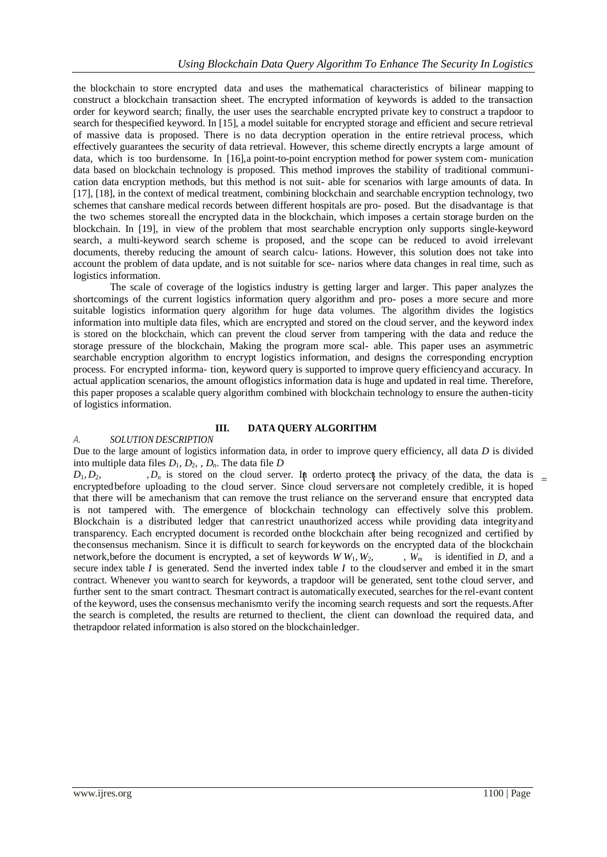the blockchain to store encrypted data and uses the mathematical characteristics of bilinear mapping to construct a blockchain transaction sheet. The encrypted information of keywords is added to the transaction order for keyword search; finally, the user uses the searchable encrypted private key to construct a trapdoor to search for thespecified keyword. In [15], a model suitable for encrypted storage and efficient and secure retrieval of massive data is proposed. There is no data decryption operation in the entire retrieval process, which effectively guarantees the security of data retrieval. However, this scheme directly encrypts a large amount of data, which is too burdensome. In [16],a point-to-point encryption method for power system com- munication data based on blockchain technology is proposed. This method improves the stability of traditional communication data encryption methods, but this method is not suit- able for scenarios with large amounts of data. In [17], [18], in the context of medical treatment, combining blockchain and searchable encryption technology, two schemes that canshare medical records between different hospitals are pro- posed. But the disadvantage is that the two schemes storeall the encrypted data in the blockchain, which imposes a certain storage burden on the blockchain. In [19], in view of the problem that most searchable encryption only supports single-keyword search, a multi-keyword search scheme is proposed, and the scope can be reduced to avoid irrelevant documents, thereby reducing the amount of search calcu- lations. However, this solution does not take into account the problem of data update, and is not suitable for sce- narios where data changes in real time, such as logistics information.

The scale of coverage of the logistics industry is getting larger and larger. This paper analyzes the shortcomings of the current logistics information query algorithm and pro- poses a more secure and more suitable logistics information query algorithm for huge data volumes. The algorithm divides the logistics information into multiple data files, which are encrypted and stored on the cloud server, and the keyword index is stored on the blockchain, which can prevent the cloud server from tampering with the data and reduce the storage pressure of the blockchain, Making the program more scal- able. This paper uses an asymmetric searchable encryption algorithm to encrypt logistics information, and designs the corresponding encryption process. For encrypted informa- tion, keyword query is supported to improve query efficiencyand accuracy. In actual application scenarios, the amount oflogistics information data is huge and updated in real time. Therefore, this paper proposes a scalable query algorithm combined with blockchain technology to ensure the authen-ticity of logistics information.

# **III. DATA QUERY ALGORITHM**

## *A. SOLUTION DESCRIPTION*

Due to the large amount of logistics information data, in order to improve query efficiency, all data *D* is divided into multiple data files  $D_1, D_2, D_n$ . The data file  $D$ 

 $D_1, D_2, \ldots, D_n$  is stored on the cloud server. In orderto protect the privacy of the data, the data is  $=$ encryptedbefore uploading to the cloud server. Since cloud serversare not completely credible, it is hoped that there will be amechanism that can remove the trust reliance on the serverand ensure that encrypted data is not tampered with. The emergence of blockchain technology can effectively solve this problem. Blockchain is a distributed ledger that canrestrict unauthorized access while providing data integrityand transparency. Each encrypted document is recorded onthe blockchain after being recognized and certified by theconsensus mechanism. Since it is difficult to search forkeywords on the encrypted data of the blockchain network, before the document is encrypted, a set of keywords  $W W_1, W_2, \dots, W_m$  is identified in *D*, and a secure index table *I* is generated. Send the inverted index table *I* to the cloudserver and embed it in the smart contract. Whenever you wantto search for keywords, a trapdoor will be generated, sent tothe cloud server, and further sent to the smart contract. Thesmart contract is automatically executed, searches for the rel-evant content of the keyword, uses the consensus mechanismto verify the incoming search requests and sort the requests.After the search is completed, the results are returned to theclient, the client can download the required data, and thetrapdoor related information is also stored on the blockchainledger.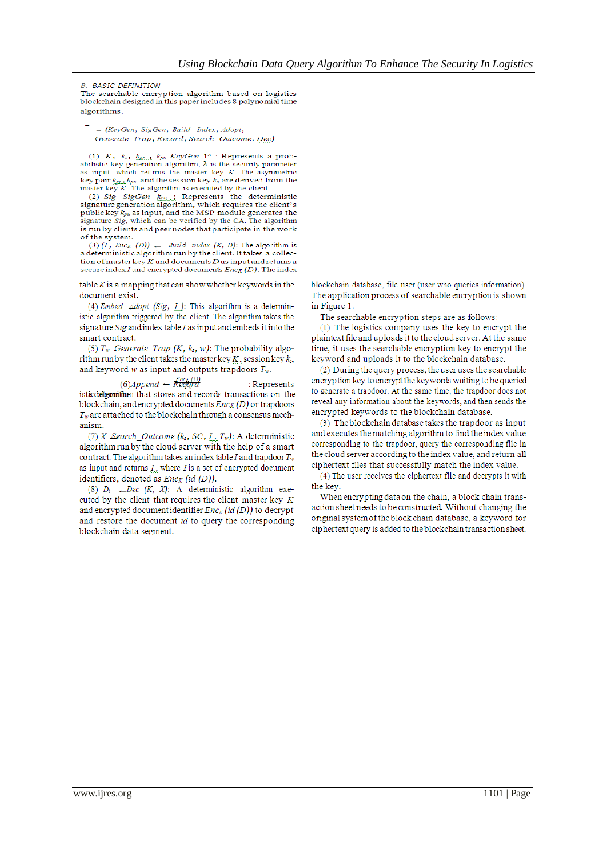**B. BASIC DEFINITION** 

The searchable encryption algorithm based on logistics blockchain designed in this paper includes 8 polynomial time algorithms:

 $=$  (KevGen, SigGen, Build Index, Adopt, Generate Trap, Record, Search Outcome, Dec)

(1) K,  $k_z$ ,  $k_{Bk}$ ,  $k_{p}$  KeyGen  $1^{\lambda}$ : Represents a probabilistic key generation algorithm,  $\lambda$  is the security parameter as input, which returns the master key  $K$ . The asymmetric  $k$  by pair  $k_{px}$ ,  $k_{px}$  and the session key  $k_k$  are derived from the master key  $K$ . The algorithm is executed by the client.

(2) Sig SigGen  $k_{\text{g}}$  Represents the deterministic signature generation algorithm, which requires the client's public key  $k_{pu}$  as input, and the MSP module generates the signature *Sig*, which can be verified by the CA. The algorithm is run by clients and peer nodes that participate in the work of the system.

(3)  $(I, Enc_K (D))$   $\leftarrow$  *Build* \_*index* (*K*, *D*): The algorithm is a deterministic algorithm run by the client. It takes a collection of master key  $K$  and documents  $D$  as input and returns a secure index  $I$  and encrypted documents  $Enc_K(D)$ . The index

 $table K$  is a mapping that can show whether keywords in the document exist.

(4) Embed Adopt (Sig,  $I$ ): This algorithm is a deterministic algorithm triggered by the client. The algorithm takes the signature  $Sig$  and index table  $I$  as input and embeds it into the smart contract.

(5)  $T_w$  Generate Trap (K,  $k_s$ , w): The probability algorithm run by the client takes the master key  $K$ , session key  $k_s$ , and keyword  $w$  as input and outputs trapdoors  $T_w$ .

 $(6)$ Append – Record : Represents istaccelgonithm that stores and records transactions on the blockchain, and encrypted documents  $Enc_K(D)$  or trapdoors  $T_w$  are attached to the blockchain through a consensus mechanism.

(7) X Search\_Outcome ( $k_s$ , SC,  $I_{\mu}$ ,  $T_w$ ): A deterministic algorithm run by the cloud server with the help of a smart contract. The algorithm takes an index table I and trapdoor  $T_w$ as input and returns  $I_{\alpha}$  where I is a set of encrypted document identifiers, denoted as  $Enc_K (id (D))$ .

(8)  $D_i$   $\leftarrow$  Dec (K, X): A deterministic algorithm executed by the client that requires the client master key  $K$ and encrypted document identifier  $Enc_K(id(D))$  to decrypt and restore the document id to query the corresponding blockchain data segment.

blockchain database, file user (user who queries information). The application process of searchable encryption is shown in Figure 1.

The searchable encryption steps are as follows:

(1) The logistics company uses the key to encrypt the plaintext file and uploads it to the cloud server. At the same time, it uses the searchable encryption key to encrypt the keyword and uploads it to the blockchain database.

(2) During the query process, the user uses the searchable encryption key to encrypt the keywords waiting to be queried to generate a trapdoor. At the same time, the trapdoor does not reveal any information about the keywords, and then sends the encrypted keywords to the blockchain database.

(3) The blockchain database takes the trapdoor as input and executes the matching algorithm to find the index value corresponding to the trapdoor, query the corresponding file in the cloud server according to the index value, and return all ciphertext files that successfully match the index value.

(4) The user receives the ciphertext file and decrypts it with the kev.

When encrypting data on the chain, a block chain transaction sheet needs to be constructed. Without changing the original system of the block chain database, a keyword for ciphertext query is added to the blockchain transaction sheet.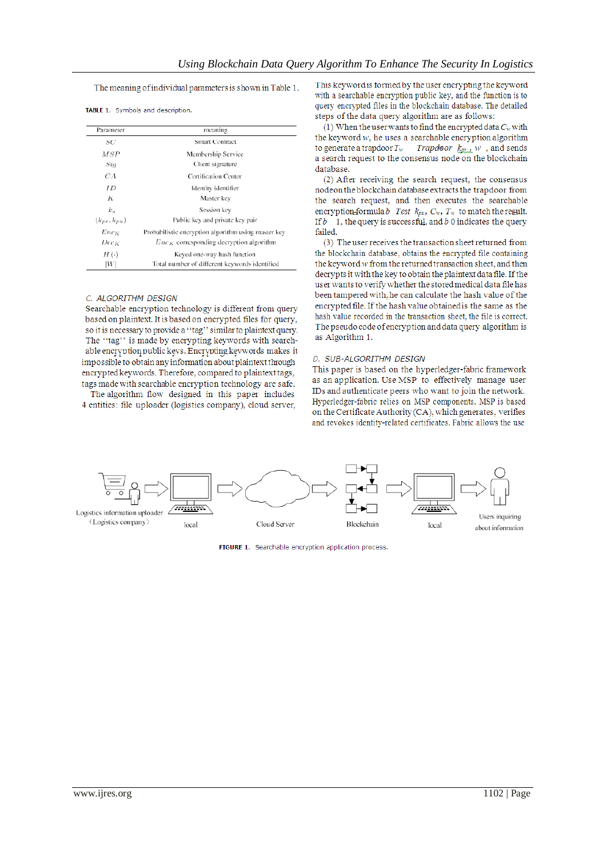The meaning of individual parameters is shown in Table 1.

| Parameter          | meaning                                             |
|--------------------|-----------------------------------------------------|
| SC                 | Smart Contract                                      |
| MSP                | Membership Service                                  |
| Siq                | Client signature                                    |
| CА                 | <b>Certification Center</b>                         |
| ΙĐ                 | Identity identifier                                 |
| K                  | Master key                                          |
| k.                 | Session key                                         |
| $(k_{pr}, k_{pu})$ | Public key and private key pair                     |
| Enc <sub>K</sub>   | Probabilistic encryption algorithm using master key |
| Dec <sub>K</sub>   | $Enc_K$ corresponding decryption algorithm          |
| $H(\cdot)$         | Keyed one-way hash function                         |
| W                  | Total number of different keywords identified       |

TABLE 1. Symbols and description.

#### C. ALGORITHM DESIGN

Searchable encryption technology is different from query based on plaintext. It is based on encrypted files for query, so it is necessary to provide a "tag" similar to plaintext query. The "tag" is made by encrypting keywords with searchable encryption public keys. Encrypting keywords makes it impossible to obtain any information about plaintext through encrypted keywords. Therefore, compared to plaintext tags, tags made with searchable encryption technology are safe.

The algorithm flow designed in this paper includes 4 entities: file uploader (logistics company), cloud server,

This keyword is formed by the user encrypting the keyword with a searchable encryption public key, and the function is to query encrypted files in the blockchain database. The detailed steps of the data query algorithm are as follows:

(1) When the user wants to find the encrypted data  $C_w$  with the keyword  $w$ , he uses a searchable encryption algorithm to generate a trapdoor  $T_w$  Trapdoor  $k_{pr}$ , w, and sends a search request to the consensus node on the blockchain database.

(2) After receiving the search request, the consensus nodeon the blockchain database extracts the trapdoor from the search request, and then executes the searchable encryption formula b Test  $k_{vu}$ ,  $C_w$ ,  $T_w$  to match the result. If  $b$  1, the query is successful, and  $b$  0 indicates the query failed.

(3) The user receives the transaction sheet returned from the blockchain database, obtains the encrypted file containing the keyword  $w$  from the returned transaction sheet, and then decrypts it with the key to obtain the plaintext data file. If the user wants to verify whether the stored medical data file has been tampered with, he can calculate the hash value of the encrypted file. If the hash value obtained is the same as the hash value recorded in the transaction sheet, the file is correct. The pseudo code of encryption and data query algorithm is as Algorithm 1.

#### D. SUB-ALGORITHM DESIGN

This paper is based on the hyperledger-fabric framework as an application. Use MSP to effectively manage user IDs and authenticate peers who want to join the network. Hyperledger-fabric relies on MSP components. MSP is based on the Certificate Authority (CA), which generates, verifies and revokes identity-related certificates. Fabric allows the use



FIGURE 1. Searchable encryption application process.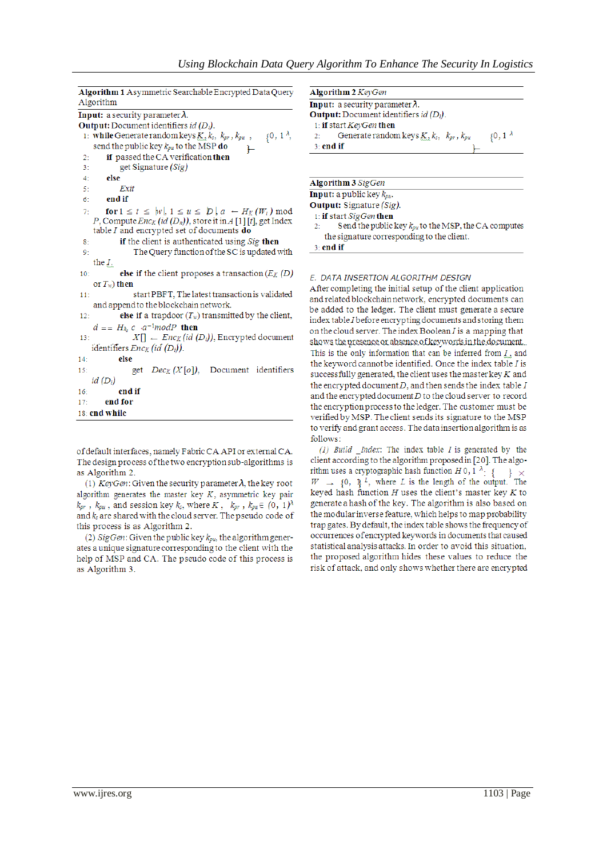Algorithm 1 Asymmetric Searchable Encrypted Data Query Algorithm **Input:** a security parameter  $\lambda$ . **Output:** Document identifiers id  $(D_i)$ .  $\{0, 1^{\lambda},$ 1: while Generate random keys  $K_3, k_5, k_{pr}, k_{pu}$ , send the public key  $k_{pu}$  to the  $\widetilde{MSP}$  do F if passed the CA verification then  $\overline{2}$ get Signature (Sig)  $3<sup>1</sup>$  $4<sup>1</sup>$ else  $5<sup>1</sup>$ Exit  $6<sup>1</sup>$ end if for  $1 \le t \le |w|, 1 \le u \le |D|, a \leftarrow H_K(W_t) \mod$  $7 -$ P, Compute  $Enc_K(id(D_n))$ , store it in A [1] [t], get Index table  $I$  and encrypted set of documents  $do$ if the client is authenticated using Sig then  $8:$ The Query function of the SC is updated with  $9:$ the  $I$ .  $10<sub>2</sub>$ else if the client proposes a transaction  $(E_K(D))$ or  $T_w$ ) then start PBFT, The latest transaction is validated  $11<sub>2</sub>$ and append to the blockchain network.  $12<sup>1</sup>$ else if a trapdoor  $(T_w)$  transmitted by the client,  $d = H_{k_2} c \cdot a^{-1} mod P$  then  $X[] \leftarrow Enc_K(id(D_i))$ , Encrypted document  $13$ identifiers  $\bar{E}nc_K$  (id  $(\bar{D}_i)$ ).  $14$ else get  $Dec_{K}(X[\sigma])$ , Document identifiers  $15<sub>2</sub>$  $id(D_i)$ 

end if  $16:$  $17:$ end for

18: end while

of default interfaces, namely Fabric CA API or external CA. The design process of the two encryption sub-algorithms is as Algorithm 2.

(1) KeyGen: Given the security parameter  $\lambda$ , the key root algorithm generates the master key  $K$ , asymmetric key pair  $k_{pr}$ ,  $k_{pu}$ , and session key  $k_s$ , where  $K$ ,  $k_{pr}$ ,  $k_{pu} \in (0, 1)^{\lambda}$ and  $k_s$  are shared with the cloud server. The pseudo code of this process is as Algorithm 2.

(2) SigGen: Given the public key  $k_{pu}$ , the algorithm generates a unique signature corresponding to the client with the help of MSP and CA. The pseudo code of this process is as Algorithm 3.

| <b>Algorithm 2 KeyGen</b>                                         |
|-------------------------------------------------------------------|
| <b>Input:</b> a security parameter $\lambda$ .                    |
| <b>Output:</b> Document identifiers <i>id</i> $(D_i)$ .           |
| 1: if start $KeyGen$ then                                         |
| $\{0, 1\}$<br>Generate random keys $K, k_s, k_{pr}, k_{pu}$<br>2: |
| $3:$ end if                                                       |
|                                                                   |
|                                                                   |
| <b>Algorithm 3 SigGen</b>                                         |
| <b>Input:</b> a public key $k_{pu}$ .                             |
| <b>Output:</b> Signature (Sig).                                   |
| 1: if start SigGen then                                           |

Send the public key  $k_{pu}$  to the MSP, the CA computes the signature corresponding to the client.



#### E. DATA INSERTION ALGORITHM DESIGN

After completing the initial setup of the client application and related blockchain network, encrypted documents can be added to the ledger. The client must generate a secure index table I before encrypting documents and storing them on the cloud server. The index Boolean  $I$  is a mapping that shows the presence or absence of keywords in the document. This is the only information that can be inferred from  $I$ , and the keyword cannot be identified. Once the index table I is successfully generated, the client uses the master key  $K$  and the encrypted document  $D$ , and then sends the index table  $I$ and the encrypted document  $D$  to the cloud server to record the encryption process to the ledger. The customer must be verified by MSP. The client sends its signature to the MSP to verify and grant access. The data insertion algorithm is as follows:

 $(1)$  Build \_Index: The index table I is generated by the client according to the algorithm proposed in [20]. The algorithm uses a cryptographic hash function  $H$  0,  $1 \rightarrow$  { }  $\times$  $W \rightarrow \{0, \, \pi^L, \, \text{where } L \text{ is the length of the output. The }$ keyed hash function  $H$  uses the client's master key  $K$  to generate a hash of the key. The algorithm is also based on the modular inverse feature, which helps to map probability trap gates. By default, the index table shows the frequency of occurrences of encrypted keywords in documents that caused statistical analysis attacks. In order to avoid this situation, the proposed algorithm hides these values to reduce the risk of attack, and only shows whether there are encrypted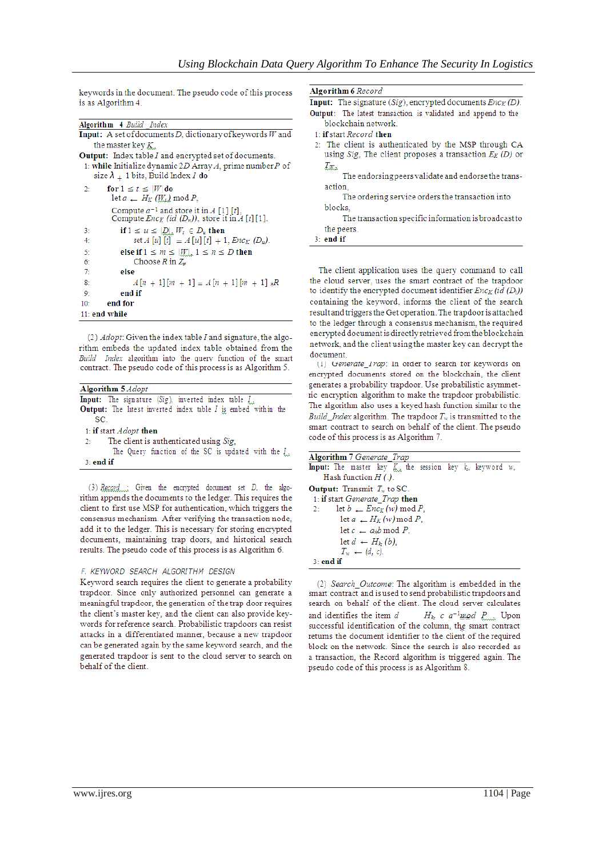keywords in the document. The pseudo code of this process is as Algorithm 4.

| <b>Algorithm 4 Build Index</b>                                      |
|---------------------------------------------------------------------|
|                                                                     |
| <b>Input:</b> A set of documents D, dictionary of keywords $W$ and  |
| the master key $K_{\alpha}$                                         |
| <b>Output:</b> Index table <i>I</i> and encrypted set of documents. |
| 1: while Initialize dynamic 2D Array $A$ , prime number $P$ of      |
| size $\lambda$ + 1 bits, Build Index I do                           |
|                                                                     |
| for $1 \le t \le  W $ do<br>2:                                      |
| $\det a = H_K(W_t) \bmod P$ .                                       |
|                                                                     |
| Compute $a^{-1}$ and store it in A [1] [t],                         |
| Compute $Enc_K$ (id $(D_n)$ ), store it in A [t][1].                |
| if $1 \leq u \leq  \mathcal{D} $ , $W_t \in D_u$ then<br>3:         |
| set $A[u][t] = A[u][t] + 1$ , $Enc_K(D_u)$ .<br>4:                  |
| 5:<br>else if $1 \leq m \leq  W $ , $1 \leq n \leq D$ then          |
| Choose $R$ in $Z_p$<br>6:                                           |
| 7:<br>else                                                          |
| $A[n+1][m+1] = A[n+1][m+1] \times R$<br>8:                          |
| 9:<br>end if                                                        |
| end for<br>10 <sup>°</sup>                                          |
| $11:$ end while                                                     |

(2) Adopt: Given the index table I and signature, the algorithm embeds the updated index table obtained from the Build Index algorithm into the query function of the smart contract. The pseudo code of this process is as Algorithm 5.

| <b>Algorithm 5</b> Adopt                                             |
|----------------------------------------------------------------------|
| <b>Input:</b> The signature (Sig), inverted index table $I_{xx}$     |
| <b>Output:</b> The latest inverted index table I is embed within the |
| SC.                                                                  |
| 1: if start <i>Adopt</i> then                                        |
| 2: The client is authenticated using Sig.                            |
| The Query function of the SC is updated with the I.                  |
| $3:$ end if                                                          |
|                                                                      |

(3)  $Record$  : Given the encrypted document set  $D$ , the algorithm appends the documents to the ledger. This requires the client to first use MSP for authentication, which triggers the consensus mechanism. After verifying the transaction node, add it to the ledger. This is necessary for storing encrypted documents, maintaining trap doors, and historical search results. The pseudo code of this process is as Algorithm 6.

#### F. KEYWORD SEARCH ALGORITHM DESIGN

Keyword search requires the client to generate a probability trapdoor. Since only authorized personnel can generate a meaningful trapdoor, the generation of the trap door requires the client's master key, and the client can also provide keywords for reference search. Probabilistic trapdoors can resist attacks in a differentiated manner, because a new trapdoor can be generated again by the same keyword search, and the generated trapdoor is sent to the cloud server to search on behalf of the client.

| Algorithm 6 <i>Record</i> |  |
|---------------------------|--|
|                           |  |

**Input:** The signature (Sig), encrypted documents  $Enc<sub>K</sub>(D)$ . Output: The latest transaction is validated and append to the blockchain network. 1: if start Record then 2: The client is authenticated by the MSP through CA using Sig. The client proposes a transaction  $E_K(D)$  or  $T_{\text{ML}}$ The endorsing peers validate and endorse the transaction The ordering service orders the transaction into

blocks. The transaction specific information is broadcast to the peers.

| ena |  |  |
|-----|--|--|

The client application uses the query command to call the cloud server, uses the smart contract of the trapdoor to identify the encrypted document identifier  $Enc_K(id(D_i))$ containing the keyword, informs the client of the search result and triggers the Get operation. The trapdoor is attached to the ledger through a consensus mechanism, the required encrypted document is directly retrieved from the blockchain network, and the client using the master key can decrypt the document.

(1) Generate\_Irap: In order to search for Keywords on encrypted documents stored on the blockchain, the client generates a probability trapdoor. Use probabilistic asymmetric encryption algorithm to make the trapdoor probabilistic. The algorithm also uses a keyed hash function similar to the Build\_Index algorithm. The trapdoor  $T_w$  is transmitted to the smart contract to search on behalf of the client. The pseudo code of this process is as Algorithm 7.

| <b>Algorithm</b> 7 Generate Trap                                                   |  |  |  |
|------------------------------------------------------------------------------------|--|--|--|
| <b>Input:</b> The master key $K_{\lambda}$ the session key $k_i$ , keyword $w_i$ , |  |  |  |
| Hash function $H(.)$ .                                                             |  |  |  |
| <b>Output:</b> Transmit $T_w$ to SC.                                               |  |  |  |
| 1: if start Generate Trap then                                                     |  |  |  |
| let $b \leftarrow Enc_K(w) \mod P$ .<br>2:                                         |  |  |  |
| let $a \perp H_K(w)$ mod P.                                                        |  |  |  |
| let $c \leftarrow a_{\theta}b \mod P$ .                                            |  |  |  |
| let $d \leftarrow H_{k_2}(b)$ ,                                                    |  |  |  |
| $T_w \leftarrow (d, c)$ .                                                          |  |  |  |
| $3:$ end if                                                                        |  |  |  |
|                                                                                    |  |  |  |

(2) Search\_Outcome: The algorithm is embedded in the smart contract and is used to send probabilistic trapdoors and search on behalf of the client. The cloud server calculates  $H_k$  c  $a^{-1}$ <u>mo</u>d  $P_{\text{max}}$  Upon and identifies the item d successful identification of the column, the smart contract returns the document identifier to the client of the required block on the network. Since the search is also recorded as a transaction, the Record algorithm is triggered again. The pseudo code of this process is as Algorithm 8.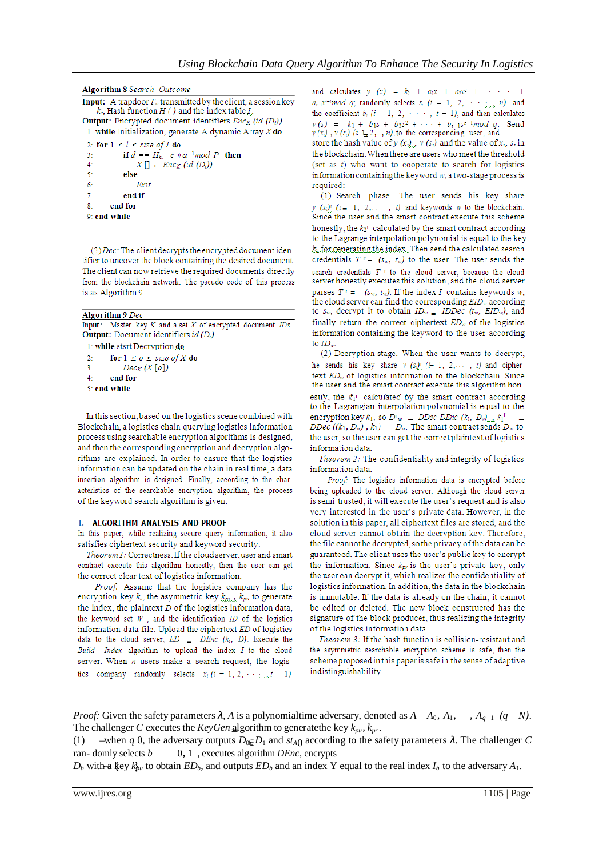Algorithm 8 Search Outcome

**Input:** A trapdoor  $T_w$  transmitted by the client, a session key  $k_z$ , Hash function H ( ) and the index table I. **Output:** Encrypted document identifiers  $Enc_K$  (id  $(D_i)$ ). 1: while Initialization, generate A dynamic Array  $X$ do. 2: for  $1 \leq l \leq size$  of I do if  $d = H_{k_2}$  c  $*a^{-1} \mod P$  then  $3<sup>2</sup>$  $X[] \leftarrow Enc_K (id (D_i))$  $4<sup>1</sup>$  $5:$ else  $6:$ Exit end if  $7 8:$ end for 9: end while

(3) Dec: The client decrypts the encrypted document identifier to uncover the block containing the desired document. The client can now retrieve the required documents directly from the blockchain network. The pseudo code of this process is as Algorithm 9.

```
Algorithm 9 Dec
Input: Master key K and a set X of encrypted document IDs.
```
**Output:** Document identifiers id  $(D_i)$ .

1: while stsrt Decryption do.

 $\overline{\mathcal{L}}$ for  $1 \leq o \leq$  size of X do  $\mathbf{R}$  $Dec_{K}(X[o])$  $4:$ end for 5: end while

In this section, based on the logistics scene combined with Blockchain, a logistics chain querying logistics information process using searchable encryption algorithms is designed, and then the corresponding encryption and decryption algorithms are explained. In order to ensure that the logistics information can be updated on the chain in real time, a data insertion algorithm is designed. Finally, according to the characteristics of the searchable encryption algorithm, the process of the keyword search algorithm is given.

#### I. ALGORITHM ANALYSIS AND PROOF

In this paper, while realizing secure query information, it also satisfies ciphertext security and keyword security.

Theorem 1: Correctness. If the cloud server, user and smart contract execute this algorithm honestly, then the user can get the correct clear text of logistics information.

Proof: Assume that the logistics company has the encryption key  $k_z$ , the asymmetric key  $k_{px}$ ,  $k_{px}$  to generate the index, the plaintext  $D$  of the logistics information data, the keyword set  $W$ , and the identification  $ID$  of the logistics information data file. Upload the ciphertext ED of logistics data to the cloud server,  $ED = DEnc (k_i, D)$ . Execute the Build \_Index algorithm to upload the index I to the cloud server. When  $n$  users make a search request, the logistics company randomly selects  $x_i$  ( $i = 1, 2, \dots, x_t = 1$ )

and calculates  $y(x) = k_1 + a_1x + a_2x^2 +$  $a_{i-1}x^{i-1}$  *mod q*; randomly selects  $s_i$  ( $i = 1, 2, \cdots, n$ ) and the coefficient  $b_i$  ( $i = 1, 2, \cdots, t - 1$ ), and then calculates  $v(s) = k_1 + b_1s + b_2s^2 + \cdots + b_{t-1}s^{t-1}mod q.$ Send  $y(x_i)$ ,  $y(x_i)$  (i 1, 2, , n) to the corresponding user, and

store the hash value of  $y(x_{i})$ ,  $v(s_i)$  and the value of  $x_i$ ,  $s_i$  in the blockchain. When there are users who meet the threshold (set as  $t$ ) who want to cooperate to search for logistics information containing the keyword  $w$ , a two-stage process is required:

(1) Search phase. The user sends his key share  $y(x_i)^r$   $(i = 1, 2, \ldots, t)$  and keywords w to the blockchain. Since the user and the smart contract execute this scheme honestly, the  $k_2$ <sup>r</sup> calculated by the smart contract according to the Lagrange interpolation polynomial is equal to the key  $k_2$  for generating the index. Then send the calculated search credentials  $T^r = (s_w, t_w)$  to the user. The user sends the search credentials  $T$ <sup> $\tau$ </sup> to the cloud server, because the cloud server honestly executes this solution, and the cloud server parses  $T^r = (s_w, t_w)$ . If the index I contains keywords w, the cloud server can find the corresponding  $EID_w$  according to  $s_w$ , decrypt it to obtain  $ID_w = IDDec$  ( $t_w$ ,  $EID_w$ ), and finally return the correct ciphertext  $ED_w$  of the logistics information containing the keyword to the user according to  $ID_{\cdots}$ 

(2) Decryption stage. When the user wants to decrypt, he sends his key share  $v(s_i)^r$  ( $i=1, 2, \dots, t$ ) and ciphertext  $ED_w$  of logistics information to the blockchain. Since the user and the smart contract execute this algorithm honestly, the  $k_1$ <sup> $\in$ </sup> calculated by the smart contract according to the Lagrangian interpolation polynomial is equal to the encryption key  $k_1$ , so  $D^r w = DDec DEnc (k_1, D_w)$ ,  $k_1^r =$ DDec  $((k_1, D_w), k_1) = D_w$ . The smart contract sends  $D_w$  to the user, so the user can get the correct plaintext of logistics information data.

Theorem 2: The confidentiality and integrity of logistics information data.

Proof: The logistics information data is encrypted before being uploaded to the cloud server. Although the cloud server is semi-trusted, it will execute the user's request and is also very interested in the user's private data. However, in the solution in this paper, all ciphertext files are stored, and the cloud server cannot obtain the decryption key. Therefore, the file cannot be decrypted, so the privacy of the data can be guaranteed. The client uses the user's public key to encrypt the information. Since  $k_{pr}$  is the user's private key, only the user can decrypt it, which realizes the confidentiality of logistics information. In addition, the data in the blockchain is immutable. If the data is already on the chain, it cannot be edited or deleted. The new block constructed has the signature of the block producer, thus realizing the integrity of the logistics information data.

Theorem 3: If the hash function is collision-resistant and the asymmetric searchable encryption scheme is safe, then the scheme proposed in this paper is safe in the sense of adaptive indistinguishability.

*Proof:* Given the safety parameters  $\lambda$ , A is a polynomialtime adversary, denoted as  $A$ ,  $A_0$ ,  $A_1$ ,  $A_{q-1}$  (q N). The challenger C executes the KeyGen algorithm to generate the key  $k_{pu}$ ,  $k_{pr}$ .

 $\equiv$  when q 0, the adversary outputs  $D_0E_D_1$  and st<sub>A0</sub> according to the safety parameters λ. The challenger C  $(1)$ ran-domly selects  $b$  $0, 1$ , executes algorithm *DEnc*, encrypts

 $D_b$  with a key  $k_{bu}$  to obtain  $ED_b$ , and outputs  $ED_b$  and an index Y equal to the real index  $I_b$  to the adversary  $A_1$ .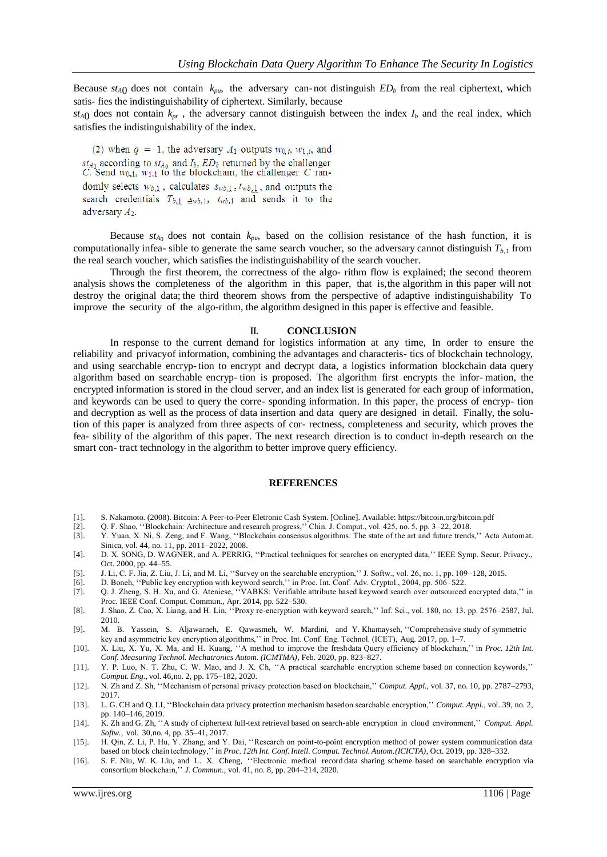Because  $st_{A0}$  does not contain  $k_{pu}$ , the adversary can-not distinguish  $ED_b$  from the real ciphertext, which satis- fies the indistinguishability of ciphertext. Similarly, because

 $st_{A0}$  does not contain  $k_{pr}$ , the adversary cannot distinguish between the index  $I_b$  and the real index, which satisfies the indistinguishability of the index.

(2) when  $q = 1$ , the adversary  $A_1$  outputs  $w_{0,i}$ ,  $w_{1,i}$ , and  $st_{A_1}$  according to  $st_{A_0}$  and  $I_b$ ,  $ED_b$  returned by the challenger C. Send  $w_{0,1}$ ,  $w_{1,1}$  to the blockchain, the challenger C randomly selects  $w_{b,1}$ , calculates  $s_{wb,1}$ ,  $t_{wb,1}$ , and outputs the search credentials  $T_{b,1}$   $\mathcal{L}_{wb,1}$ ,  $t_{wb,1}$  and sends it to the adversary  $A_2$ .

Because  $st_{A_0}$  does not contain  $k_{pu}$ , based on the collision resistance of the hash function, it is computationally infea- sible to generate the same search voucher, so the adversary cannot distinguish  $T_{b,1}$  from the real search voucher, which satisfies the indistinguishability of the search voucher.

Through the first theorem, the correctness of the algo- rithm flow is explained; the second theorem analysis shows the completeness of the algorithm in this paper, that is,the algorithm in this paper will not destroy the original data; the third theorem shows from the perspective of adaptive indistinguishability To improve the security of the algo-rithm, the algorithm designed in this paper is effective and feasible.

#### **II. CONCLUSION**

In response to the current demand for logistics information at any time, In order to ensure the reliability and privacyof information, combining the advantages and characteris- tics of blockchain technology, and using searchable encryp- tion to encrypt and decrypt data, a logistics information blockchain data query algorithm based on searchable encryp- tion is proposed. The algorithm first encrypts the infor- mation, the encrypted information is stored in the cloud server, and an index list is generated for each group of information, and keywords can be used to query the corre- sponding information. In this paper, the process of encryp- tion and decryption as well as the process of data insertion and data query are designed in detail. Finally, the solution of this paper is analyzed from three aspects of cor- rectness, completeness and security, which proves the fea- sibility of the algorithm of this paper. The next research direction is to conduct in-depth research on the smart con- tract technology in the algorithm to better improve query efficiency.

### **REFERENCES**

- [1]. S. Nakamoto. (2008). Bitcoin: A Peer-to-Peer Eletronic Cash System. [Online]. Available: https://bitcoin.org/bitcoin.pdf
- [2]. Q. F. Shao, ''Blockchain: Architecture and research progress,'' Chin. J. Comput., vol. 425, no. 5, pp. 3–22, 2018.
- [3]. Y. Yuan, X. Ni, S. Zeng, and F. Wang, ''Blockchain consensus algorithms: The state of the art and future trends,'' Acta Automat. Sinica, vol. 44, no. 11, pp. 2011–2022, 2008.
- [4]. D. X. SONG, D. WAGNER, and A. PERRIG, ''Practical techniques for searches on encrypted data,'' IEEE Symp. Secur. Privacy., Oct. 2000, pp. 44–55.
- [5]. J. Li, C. F. Jia, Z. Liu, J. Li, and M. Li, ''Survey on the searchable encryption,'' J. Softw., vol. 26, no. 1, pp. 109–128, 2015.
- [6]. D. Boneh, ''Public key encryption with keyword search,'' in Proc. Int. Conf. Adv. Cryptol., 2004, pp. 506–522.
- [7]. Q. J. Zheng, S. H. Xu, and G. Ateniese, ''VABKS: Verifiable attribute based keyword search over outsourced encrypted data,'' in Proc. IEEE Conf. Comput. Commun., Apr. 2014, pp. 522–530.
- [8]. J. Shao, Z. Cao, X. Liang, and H. Lin, ''Proxy re-encryption with keyword search,'' Inf. Sci., vol. 180, no. 13, pp. 2576–2587, Jul. 2010.
- [9]. M. B. Yassein, S. Aljawarneh, E. Qawasmeh, W. Mardini, and Y. Khamayseh, ''Comprehensive study of symmetric key and asymmetric key encryption algorithms,'' in Proc. Int. Conf. Eng. Technol. (ICET), Aug. 2017, pp. 1–7.
- [10]. X. Liu, X. Yu, X. Ma, and H. Kuang, ''A method to improve the freshdata Query efficiency of blockchain,'' in *Proc. 12th Int. Conf. Measuring Technol. Mechatronics Autom. (ICMTMA)*, Feb. 2020, pp. 823–827.
- [11]. Y. P. Luo, N. T. Zhu, C. W. Mao, and J. X. Ch, ''A practical searchable encryption scheme based on connection keywords,'' *Comput. Eng.*, vol. 46,no. 2, pp. 175–182, 2020.
- [12]. N. Zh and Z. Sh, ''Mechanism of personal privacy protection based on blockchain,'' *Comput. Appl.*, vol. 37, no. 10, pp. 2787–2793, 2017.
- [13]. L. G. CH and Q. LI, ''Blockchain data privacy protection mechanism basedon searchable encryption,'' *Comput. Appl.*, vol. 39, no. 2, pp. 140–146, 2019.
- [14]. K. Zh and G. Zh, ''A study of ciphertext full-text retrieval based on search-able encryption in cloud environment,'' *Comput. Appl. Softw.*, vol. 30,no. 4, pp. 35–41, 2017.
- [15]. H. Qin, Z. Li, P. Hu, Y. Zhang, and Y. Dai, ''Research on point-to-point encryption method of power system communication data based on block chain technology,'' in *Proc. 12th Int. Conf. Intell. Comput. Technol. Autom.(ICICTA)*, Oct. 2019, pp. 328–332.
- [16]. S. F. Niu, W. K. Liu, and L. X. Cheng, ''Electronic medical record data sharing scheme based on searchable encryption via consortium blockchain,'' *J. Commun.*, vol. 41, no. 8, pp. 204–214, 2020.